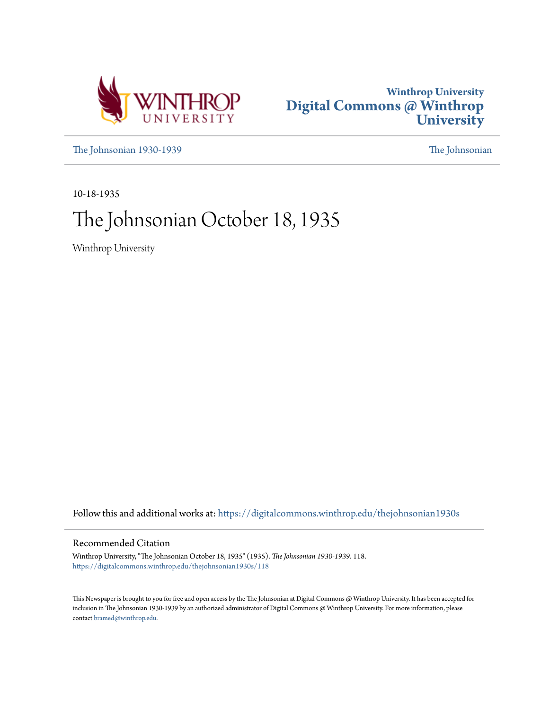



[The Johnsonian 1930-1939](https://digitalcommons.winthrop.edu/thejohnsonian1930s?utm_source=digitalcommons.winthrop.edu%2Fthejohnsonian1930s%2F118&utm_medium=PDF&utm_campaign=PDFCoverPages) [The Johnsonian](https://digitalcommons.winthrop.edu/thejohnsonian_newspaper?utm_source=digitalcommons.winthrop.edu%2Fthejohnsonian1930s%2F118&utm_medium=PDF&utm_campaign=PDFCoverPages)

10-18-1935

# The Johnsonian October 18, 1935

Winthrop University

Follow this and additional works at: [https://digitalcommons.winthrop.edu/thejohnsonian1930s](https://digitalcommons.winthrop.edu/thejohnsonian1930s?utm_source=digitalcommons.winthrop.edu%2Fthejohnsonian1930s%2F118&utm_medium=PDF&utm_campaign=PDFCoverPages)

## Recommended Citation

Winthrop University, "The Johnsonian October 18, 1935" (1935). *The Johnsonian 1930-1939*. 118. [https://digitalcommons.winthrop.edu/thejohnsonian1930s/118](https://digitalcommons.winthrop.edu/thejohnsonian1930s/118?utm_source=digitalcommons.winthrop.edu%2Fthejohnsonian1930s%2F118&utm_medium=PDF&utm_campaign=PDFCoverPages)

This Newspaper is brought to you for free and open access by the The Johnsonian at Digital Commons @ Winthrop University. It has been accepted for inclusion in The Johnsonian 1930-1939 by an authorized administrator of Digital Commons @ Winthrop University. For more information, please contact [bramed@winthrop.edu](mailto:bramed@winthrop.edu).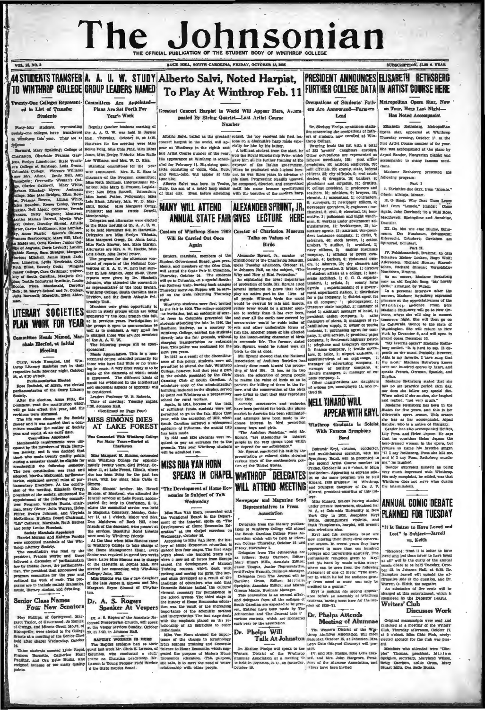# The Jol hnsonian

K HILL, SOUTH CAROLINA, FRIDAY, OCTOBER 18, 19

 $\frac{1}{2}$ 

### 44 STUDENTS TRANSFER A. A. U. W. STUDY Alberto Salvi, Noted Harpist, PRESIDENT ANNOUNCES FLISARETH RETHSRERG **FURTHER COLLEGE DATA IN ARTIST COURSE HERE** TO WINTHROP COLLEGE GROUP LEADERS NAMED To Play At Winthrop Feb. 11 Twenty-One Colleges Represent- Committees Are Appointed Plans Are Set Forth For

ed in List of Transfer **Qindenta** 

**VOL. 18, NO. 5** 

vin

Farmard, Mary Spaining; College of Bereiz Pong, Miss Chio Pink, Miss Ehler Parmard, Mary Spaining; College of Bereiz Pong, Miss Chio Pink, Miss Ehler<br>(Fina, Evelyn Limeholars) (State Techt- Lee Willinms, and Mrs. W. Miss

## **LITERARY SOCIETIES** PLAN WORK FOR YEAR

mittee Heads Nam ed. Ma shals Elected, at Initial Meeting

urry, Wade Hampton, and Win-<br>bp Literary Societies met in their<br>sective halls Monday night, October<br>at 6:30 o'clock. op Lit rian Elected

Parliamentarian Electon<br>Rudnick, of Alicm, was elected<br>nentarian of the Curry Literary

may.<br>The the election, Ama Pitts, the Leader: Professor W. B. Robert shant, read the constitution which  $\begin{bmatrix} 2\text{True} & \text{of } 1\text{True} \\ 1\text{non.} & 2\text{non.} \\ 1\text{ no.} & 1\text{non.} \\ 1\text{ no.} & 1\text{non.} \\ 1\text{ no.} & 1\text{non.} \\ 1\text{ no.} & 1\text{non.}$ 

vations were<br>The iris was<br>wer and it was<br>ittee

continued on Papp Pour<br>
is continued on Papp Pour<br>
not discussed to the Society<br>
the time such that a come-<br>
the time such that is comedy that the same of the second it was decided that a come<br>
one control of the same of

. The or

## **Senior Class Names**

May Phillips, of Springwood, Margaret Taylor, of Orscrewood, Jo Hunter, and Minne Green Morre, of Blanch Core, of Blanch Clear Benedict is most perfect to the College Schule Distance of the Senior Class bids after chappi W

Year's Work y-four students, representing Regular October business meeting of ome colleges, have transferred the A. A. U. W. was hald in Joynes manusy mes years and we will have a series of the meeting were Miss<br>mard, Mary Spalding; College of Bestie Pong, Miss Chile Fink, Miss Ethel<br>leaton, Charlotte Frances Gast- Jones, Miss Evelyn Tibbelts, Miss Rufle

lowship Unit.<br>
Members were given opportunity to Members were given opportunity to<br>
enroll in study groups which are being<br>
sponsored by the local branch this fall,<br>
at in previous years. Participation in<br>
the groups is o the groups to upper . A very small fe<br>is charged those who are not member<br>of the A. A. U. W.<br>The following groups will be apon

sponsored: and response to the space of the space of the space of the space technical course intended primarily for those who have had little or no training in music. A very brief study is to be<br>ing in music. A very brief study is to be<br>made of the elements of which music<br>is composed. The different kinds of<br>music (as evidenced in the intellectual

and se otional aspects of approch) nsidered.

Time of meeting: Tuesday night

AT LAKE FOREST

Was Connected With Winthrop College For Many Years-Buried at

Miss Margaret H. Simons, connected<br>with Winthrop College for approximately twenty years, died Friday, Oc-<br>tober 11, at Lake Forest, Illinois, where

1ь для понития и немния (вам понития (вам полития) с совредения (вам полития) с совредения с совредения с совредения (вам полития) с совредения (вам полития) с совредения (вам полития) с совредения (вам полития) с совре

Greatest Concert Harnist in World Will Annear Here. Accompanied By String Quartet-Last Artist Course Number

Alberto Sahvi, bailed as the greatest school, the boy received his first les-<br>concert harpy in the world, will ap- sons on a diminuitive harp made espe-<br>pare at Winthrop in the eight hand claim of the area in the table ha

to point out Winthrop as a preparatory<br>school for rural workers.<br>Again, in 1914, because of the leak<br>of sufficient funds, students were not<br>permitted to go to the fair. Since that<br>year, with the exception of 1919, when<br>ex

seen made.<br>1933 and 1834 students were re-933 and 1634 students were re-<br>to pay an entrance fee to the<br>is. This year Winthrop students<br>admitted free.

stream and the stream and the stream and the stream and the stream and the stream and the stream and the stream and the stream and the stream and the stream and the stream and the stream and the stream and the stream and t have been provided for birds, the plume<br>market in America has been eliminated.

market in America has been chiminated, and attempts have been made to increase in<br>lerest in bird protection among boys and girls. <br>The Autobon Footeties." said Mr. <br>Sprunt, "are tattempting to interest in Sprunt, "The Aut re depend for our subsistence."<br>Mr. Sprunt concluded his talk by the

presentation of colored slides showing<br>various birds of the southeastern por-<br>tinn of the United States.

SPEAKS IN CHAPEL WINTHROP DELEGATES IN SUITE OF THE SECOND BOOK AND STATES IN STRAINING TO BE SECOND IN THE STATE OF THE SECOND SUITE OF THE SPEED OF THE SPEED OF THE SPEED OF THE SPEED OF THE SPEED OF THE SPEED OF THE SPE Newynener and Maco

Representatives to Press Ampelation

Delegates from the literary publications of Winthrop College will attend the South Carolina College Press Association which will be held at Clember 2014

Face we association. We can be a considered by the same of the Water of the Way- C Talk At Johnston distribution At the Way- C Talk At Johnston (store is a considerate of the state of the state of the state of the state of

Occupations of Students' Fath- Metropolitan Opera Star, Now ers Are Announced-Farmers

Or. Shelton Phelpa announces statistics concerning the occupations of fathers of students now enrolled at Winders of 233 farmers' daughters enrolled at 333 farmers' daughters enrolled.<br>Other seconds and 233 farmers' daugh Dr. Shelton Phelps and

A convert and the state the energy case, the presented in for the state energy and state the state of the state of the state of the state of the state of the state of the state of the state of the state of the state of th

y the Bohumir Kryl, virtuano, conductor,<br>weing and world-famous cornetist, with his<br>por- Symphony Band, will be presented in<br>por- Symphony Band, arists Course number on<br>iPriday, October 25 at 8 c'elock, in Main

cge.<br>w ... Winned healdes he

Miss Kimrel, besides having studies<br>
under private instructors, obtained her<br>
Michael Michael Diversity in New<br>
York City in 1932, Josephine Kry<br>
White, distinguished violinist, and<br>
White, distinguished violinist, and<br>
Ru

sausi sampennema, solo selections auso.<br>West and his symphony band of Aryl and his symphony band a<br>now entering their thirty-first consections of the appeared in more than one hundred<br>expensed in more than one hundred colleges and universities annually. The son College Tuursday, October 11 and three season. In reset years and the behavior, belows the principle consider the principle and the college and the principle and the college of the college of the college of the colleg enan one monument

Meeting of Alumnae

SECURE TO THE CONTROL CONTROL CONTROL CONTROL CONTROL CONTROL CONTROL (SUPPRESS) and the second of the second state of the second state of the second state of the second state of the second state of the second state of the

on Torry Have Lost Might. Has Noted Accompanies

eth Rethsberg, Me  $rac{1}{2}$ Opera star annound at Winthman Opera Bar, appeared at Winthrop<br>Thursday evening, October 17, in the<br>first Artist Course munker of the year. stems can torp workers resistance to their youn. une was a<br>Arpad Sa accompansed at the<br>ndor, Hungarian pla accompanies to come formers and

Modema Bath ... ... following program.

 $P = 1$ 

 $1 - 1$ the due film from #41 Cluck: Allahim More

Huck: Alleluja, Mosart.<br>II. O Sleep, Why Dost Thou Leave as, C camp, way now, ham nary srom "Lemete," Handel; Con<br>Again, John Dowland: To a Wild Ho MacDows): Springting and Bunshine  $n = 1$ 

anuser.<br>III. Du blst wie eine Blume, Schu-III. Du blat wie eine Blume, Schu-<br>mann; Der Nussbaum, Schumann;<br>Eifersucht, Gehubert; Greichen am<br>Spinnrad, Schubert, usert.<br>Purt 11.

For Part II, Part II, Part II, Part II, Part II, Part II, Part II, Part II, Schalten Mehre, Richard Straus; Staend-<br>Schatten Mehrer Locken, Riego Wolf; Allerscelen, Richard Straus; Staend-<br>tehnen, Richard Straus; Vergoblid

nchen, Richard Birauns; Vergoblidies<br>Hondehen, Brahms.<br>As an encore, Madame Rethsberg<br>sanc an old English Gong, "My Lovely<br>Celia." arranged by Wilson.

Celia," arranged by Wilson.<br>In a personal interview after the concert, Madame Rethaberg expressed<br>pleasure at the appreciativeness of the Wind throp auddence. From here<br>Madanic Rethaberg will so to New Co-

Which the polynomial polynomial property of the Madamic Rethheber will go to New Or-<br>leans, where she will size in the monest boundary control to California , the<br>new the will she will be property to the state of the Varia

peaks Frenco, Ocriman, cipilmou, also<br>English.<br>- Medame Rethaberg stated that she

## ANNIIAI COMIC DERATE PLANNED FOR THESDAY "It Is Better to Have Loved and

Lost" is Subject-Jarrell

**VB.** Keith

"Despierd: That it is lutter to have

"Resolved: That it is better to have<br>lowed sm level than are to have lowed sm all "will be the quary of the annual<br>sm at all" will be the quary of the annual<br>ber 22, in Johnson Hall, at 6:30. Dr.<br>Hampton Jarrell will upho

Warren O. Keun, the negative.<br>An admission of five cents will be<br>charged at this entertaiment, which is enarged at this entertainment, which<br>sponsored by the Debaters' League.<br>Writers' Club

Discusses Work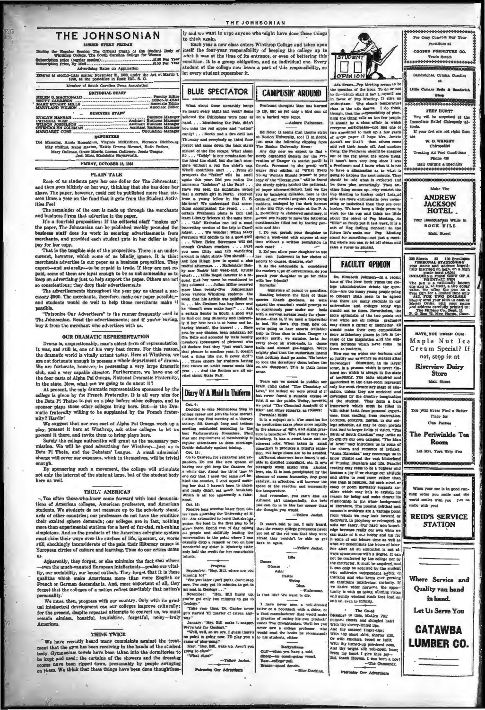## THE JOHNSONIAN to think again.

on The Official Organ of the Sta During the Regular St dant B iption Price (regular Advertising Rates on Annitostics

nd-class matter November 21, 1923, under the Act of March 1979, at the postolities in Rock Hill, S. C. Member of South Carolina Press Association **EDITORIAL STAFF** HELEN G. MACDONALD. Paculty Editor

| AMB & & & WELFMAN/WET autocacheconoconocologicale constantinopera<br>MARY STUART MILLS ___________________________ Amociate Edit |                          |  |
|----------------------------------------------------------------------------------------------------------------------------------|--------------------------|--|
| <b>BUSINESS STAFF</b>                                                                                                            |                          |  |
|                                                                                                                                  |                          |  |
| <b>PATRICIA WISE</b>                                                                                                             | Analotant Business Manag |  |
|                                                                                                                                  | <b>Circulation Manag</b> |  |

**REPORTERS** 

lum, Virginia McKelihen, Florence<br>ton, Hattle G-rene Stewart, Ruth B<br>Morris, Lorena Calloway, Jessie Teag<br>15, Madeleine Haynsworth

the four casts of Alpha Psi Omega, National Dramatic Fraternity, the scale of the task. Now, what are we going to do about it?<br>
At present, the only dramatic representation sponsored by the **Diary Of A Maid In Uniform**<br>
c nity? Hardly!

my : narry!<br>We suggest that our own cast of Alpha Psi Omega work up a<br>play, present it here at Winthrop, ask other colleges to let us<br>present it there, and invite them to bring plays here.

Surely the college authorities will grant us the necessary perous our concept automatic migrant us the messary per-<br>mission. We will be good advertising for Winthrop-just as is<br>Beta Pi Theta, and the Debaters' League. A small admission<br>charge will cover our expenses, which in themsel

oring such a movement, the college will stimulate By spor not only the interest of the state at large, but of the student body here as wel!

### TRULY AMERICAN

Too often those-who-know come forward with loud denunciations of American colleges, American professors, and American<br>students. We students do not measure up to the scholarly standstudents. We students do not measure up to the scholarly stand-<br>ards of other countries; our professors do not have the erudition<br>their exalted sphere demands; our colleges are in fact, nothing<br>more than axperimental stat

us.<br>
Apparently, they forget, or else minimize the fact that others<br>
—even the much-vaunted European intellectuals—praise our vital-<br>
ity, our sociability, our broad outlook. They forget that it is these<br>
qualities which m sonality.

We mu st, then, progress with our country. Only with its gradual inteligetual development can our colleges improve culturally; for the present, despite repeated attempts to convert us, we must remain aimless, boastful, inquisitive, forgetful, noisy-truly American

### **THINK TWICE**

We have recently heard many complaints against the treatment that the gym has been receiving in the hands of the student body. Gymnasium towels have been taken into the domitories to be hopt and used; the curtains of the s

THE JOHNSONIAN ly and we want to urgo anyone who might have done these things

Co contract a new class enters Winthrop College and takes upon<br>Leaff the four-year responsibility of keeping the college up to<br>what it was at the time of its entrance, or even of bettering this condition. It is a group obligation, and an individual one. Every<br>condition. It is a group obligation, and an individual one. Every<br>student at the college now bears a part of this responsibility, so let every student remember it.

Auburns

**RILIF SPECTATOR CAMPLISIN' ADOUND** Profound shought: Man has leave

What about those unearthly bangs where mode inter interesting ones. to fly, but as yet only a bird can si hand Mantioning the Tale didn't you miss the red apples and "cotton"<br>candy? . . . North and a fire drill last Ed Note: It seems that they're style Ed Note: It seems that they're strice<br>ht Boston University, too! If in doubt<br>just sean the following elipping from<br>The Boston University News: Thursday and everybody on third floor forgot and came down the back stairs



**DERTY UT A minimum and the Montentum and the Montentum and the best and the best and the best particle and the set of the set of the set of the set of the set of the set of the set of the set of the set of the set of the** uod.<br>Oct. 16:

Oct. 18:<br> research proprieting the United From States and Contensity of N.<br>
18: C. C., Am assommed to learn that she has, proton the lead in this flux<br>
proton. The lead in this flux play to be given there. Spend rent of d

## Frogress<br>"Hey, Bill, wl

September: "Hey, Bill, where are you incurring to?"<br>"See you later (unif puif). Can't sto<br>"See you later (unif puif). Can't sto<br>now. I've canly got 10 minutes to get in<br>November: "Hey, Bill hurry uj<br>puif got only two minut

togy..."<br>"Hey, Bill hurry up,<br>two minutes to get to

cology."<br>"Take your time, Dr. Canter new

 $\sim$ 



enunusiasm. The class's<br>rises to the nih degree,<br>though, that the responsib though, that the responsibility of plan-<br>ning the thing falls on too few people.<br>It should be a class affair in which<br>everyone participates—not just one or<br>two appointed to tack up a few yards  $x_1, \ldots, x_n$ curry<br>mom participates—oné just con or l'est concert de la concert de la concert de la concert de la concert de des la concert de des de des de des de des de des de des de des de des de des de des de la concert de la conc

## **FACILTY OPINION**

Dr. Elizabeth Johnson-In a rec

**EXAMELE AND the state of controller is considered to the state of the controller in the state of the controller and the state of the state of the state of the state of the state of the state of the state of the state of** bence of excess humanity. Any good and strive to read more rather than<br>station, and increase the less than is required, for each novel of<br>the reaction and necessarily lessly or poem incritably suggests an<br>electrom in the s

| you can do is to kim her sooner than of literature. The present political and<br>she thought you would.<br>-Yellow Jacket.                       | Ashland girl unexpectedly, the best relationship to the whole background<br>economic problems are a vantage point<br>from which we may look forward or                                                                                                                                                                                                                                                    |
|--------------------------------------------------------------------------------------------------------------------------------------------------|-----------------------------------------------------------------------------------------------------------------------------------------------------------------------------------------------------------------------------------------------------------------------------------------------------------------------------------------------------------------------------------------------------------|
| back in again.<br>-Yellow Jacket                                                                                                                 | backward, in prophecy or retrospect, as<br>It wasn't told to me, I only heard, suits our fancy. Our hard won knowl-<br>that the reason college professors never edge becomes really our own when we<br>got out of the rut was that they were can make of it our hobby and use for<br>afraid they wouldn't be able to get it some of our lelsure time as well as<br>what we denominate the hours of labor. |
| Life<br><b>Dance</b><br>Glance<br>Aster<br>Pastor                                                                                                | For after all au education is not al-<br>ways synonymous with a degree. It can<br>not be conferred by the college nor by<br>the instructor, it must be acquired, and<br>it can only be acquired by the student<br>who cultivates independent habits of<br>thinking and who keeps ever growing                                                                                                             |
| Twing<br>Tibas.<br>- Plainman.<br>Is that life? We want to die.<br>I have never seen a<br>well-dreased<br>tailor or a bootblack with a shine, or | an insatiable intellectual curiosity. If<br>we desire wider hormons, the oppor-<br>tunity is with us today, alluring vistas<br>and gently winding roads that lead on<br>and on, even to infinity.<br>--                                                                                                                                                                                                   |

mean or the Control of the Control of the Control Periodic Control Periodic Control Control Control Control Control Control Control Control Control Control Control Control Control Control Control Control Control Control Co I have never seen a well-drossed and taking the state of each contamentation is a produced with a produced by a procedure that would make Bleading to dentise a procedure of eating has one produced. The interaction when the neuer.<br>Daffynillens<br>when yru have a pold,<br>"client opean-guine" old,<br>"client

 $\overline{a}$ 



200 Sheets and 100 Extended and 100 Extended and 100 Extended and 100 Extended and 100 Extended and 100 Extended and 100 Extending a state of the state of the state of the state of the state of the state of the state of t

| HAVE YOU TRIED OUR .          |
|-------------------------------|
| Maple Nut Ice                 |
| Cream Special? If             |
| not, stop in at               |
|                               |
| <b>Riverview Dairy</b>        |
| <b>Store</b>                  |
|                               |
| Main Street                   |
|                               |
|                               |
|                               |
|                               |
| You Will Never Pind a Better  |
| Place for                     |
| <b>Club</b> Parties           |
|                               |
| The Periwinkle Tea            |
| Room                          |
|                               |
| Let Mrs. York Help You        |
|                               |
| 10101010175/0101010101010     |
| ------                        |
|                               |
|                               |
|                               |
| When your car is in good run- |
| ning order you smile and the  |
| world smiles with you Let us  |
| smile with you!               |
|                               |
|                               |
| <b>REID'S SERVICE</b>         |
| <b>STATION</b>                |
|                               |
|                               |
|                               |
|                               |
|                               |
|                               |
|                               |
|                               |
|                               |
| Where Service and             |
|                               |
| <b>Quality run hand</b>       |
|                               |
| in hand.                      |
|                               |
| Let Us Serve You              |
|                               |
|                               |
|                               |
| <b>CATAWBA</b>                |
|                               |
| <b>LUMBER CO.</b>             |
|                               |
|                               |
|                               |
|                               |



Ouff.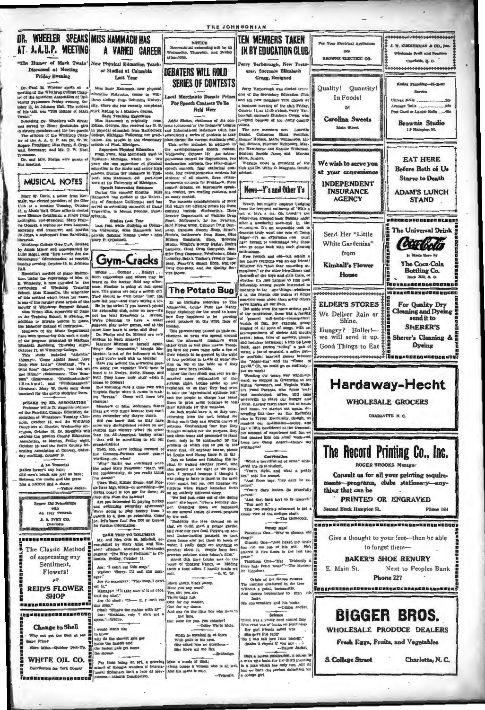## DR. WHEELER SPEAKS MISS HAMMACH HAS AT A.A.U.P. MEETING A VARIED CAREER

# Discussed at Meeting<br>Friday Evening

Dr.-Paul M. Wheeler spots at a<br>meeting of the Winthrop College Chapter of the American Association of University Professor: Prickly swamp, Oc-<br>tober 11, in Johnson Hall. The subject<br>of his talk was "The Humor of Mark

Twain."<br>
Preceding Dr. Wheeler's talk dimer<br>
Preceding Dr. Wheeler's talk dimer<br>
to sixteen members and the two guest.<br>
The officers of the Wintkrop Chap-<br>
ter of the A. A. U.P. are Dr. W. W.<br>
Rogers, President; Miss Sarah

Dr. and Mrs. Phelps were at

## **MUSICAL NOTES**

Mary W. Davis, a senior from southern of the Gleen schedule of the Gleen Club at a meeting Tomolay, October of Club at a meeting Tomolay, October or the senior series exchange on the meeting too, where the Lemington, where

e Glee Club, dire by Annis Minor and accompanied by hn) at vespers day evening, October 13, in Joh

Hall.<br>
Einacella's method of plano instruction, under the supervision of Mrs. C.<br>
E. Wimberly, is now included in the curriculum of Winkhrop Training School. Miss Kinscella, the originato  $\begin{tabular}{l|c|c|c} \hline \multicolumn{1}{|c|}{\textbf{w}} & \multicolumn{1}{|c|}{\textbf{w}} & \multicolumn{1}{|c|}{\textbf{w}} & \multicolumn{1}{|c|}{\textbf{w}} & \multicolumn{1}{|c|}{\textbf{w}} & \multicolumn{1}{|c|}{\textbf{w}} & \multicolumn{1}{|c|}{\textbf{w}} & \multicolumn{1}{|c|}{\textbf{w}} & \multicolumn{1}{|c|}{\textbf{w}} & \multicolumn{1}{|c|}{\textbf{w}} & \multicolumn{1}{|c|}{\textbf{w}} & \multicolumn{$ 

re of the M sic Departs

emosts of the Music Department<br>he proposaring this week a study<br>he program presented by Madime<br>heth Rethberg, Thursday night.<br>her 17, at Wintkrop College.<br>his study included "Allehitis" y night. October T, at Windkrop College.<br>
This a study included "Alleblia" (Meant). "Come Again! Sweet Low Rolls College"<br>
Doth Now Invite" (Downland). "To a late will Ross" (MacDowell). The line will response (Galumann). "Der Nus is). Mary W. Day<br>is for the group at

 $\begin{tabular}{p{0.85\textwidth}} \textbf{...} & \textbf{zero} & \textbf{EC} & \textbf{EQ}, & \textbf{MSGGATO} \\ \textbf{...} & \textbf{P6} & \textbf{P8} & \textbf{H8} & \textbf{D1} & \textbf{M9} & \textbf{F2} & \textbf{M9} \\ \textbf{ccl} & \textbf{B} & \textbf{F1} & \textbf{M1} & \textbf{H2} & \textbf{M1} & \textbf{M1} & \textbf{M1} & \textbf{M1} \\ \textbf{ccl} & \textbf{D1} & \textbf{M1} & \textbf{M1$ SPEAKE TO ED. ASSOCIATION

A La Tomorie<br>Bables haven't any hair; Bances navent any nutry<br>Old men's heads are just as bare:<br>Between the made and the grave<br>Lies a haireut and a shave.<br>-Yellow Jack



"The Humor of Mark Twain" New Physical Education Te er Studied at Columbia Test Ves-

> Miss Busie P h, new nhs education instructor, comes to Winsity, where she has recently completed

Unrop College from Columbia Univer-<br>
istiy, where she has recently completed<br>
vork leading to a Magter's degree,<br>
with Easter Technical Experiments and the Distribution of the Easter Technical Distribution<br>
is previously

ming couns<br>Mount Po

yivania.<br>Studies Last Fear<br>Last year, while studying at Colum-<br>Ma University, Miss Hammach took<br>orivate dancing lessons under - Miss ary P.



 $\begin{tabular}{p{0.875\textwidth}}p{81} \textbf{b1} & \textbf{1} & \textbf{1} & \textbf{1} & \textbf{2} \\ \hline 81} \textbf{b2} & \textbf{1} & \textbf{2} & \textbf{2} \\ \hline 91} \textbf{b3} & \textbf{1} & \textbf{2} & \textbf{2} \\ \hline 1 & \textbf{3} & \textbf{3} & \textbf{3} & \textbf{3} \\ \hline 1 & \textbf{3} & \textbf{3} & \textbf{3} & \textbf{3} \\ \hline 1 & \textbf{3} & \textbf{3} & \text$ 

Joe (to manager): "This soup, I can  $int 1$ 

at it.<br>Manager: "I'll take care of it ot on Call the chef." Jne (to chef): "D- it I can't e  $\frac{1}{16}$ д. nis soup."<br>Chef: "What's the matter with it?"<br>Joe: "Nothing, only I ain't got<br>poon."--Widow.

Far from being an art, a growing Man is made of chust;<br>school of thought wonders if interns. Along comes a woman<br>trond diplomary isn't a type of nerv. And his asme is mud.<br>ourness.....Atlanta Constitution.

**DERATERS WILL HOLD SERIES OF CONTESTS** 

NOTICE

**Denvertion** 

Local Mancheste Donata Pelve **For Speech Contests To Be Held Here** 

Addis Stakes shall  $+$   $+$   $-$ 

Addie Stokes, chairman of the con-<br>teats apparent by the Debaters' League<br>and Taternational Rakations Club, has<br>apparent a series of contests to take<br>a burnounced a series of contests to the This series includes, in additi  $\begin{tabular}{ll} \textbf{...} & \textbf{...} & \textbf{...} & \textbf{...} & \textbf{...} & \textbf{...} & \textbf{...} & \textbf{...} & \textbf{...} & \textbf{...} & \textbf{...} & \textbf{...} & \textbf{...} & \textbf{...} & \textbf{...} & \textbf{...} & \textbf{...} & \textbf{...} & \textbf{...} & \textbf{...} & \textbf{...} & \textbf{...} & \textbf{...} & \textbf{...} & \textbf{...} & \textbf{...} & \textbf{...} & \textbf{...} & \textbf{...} & \textbf{...} & \text$ all<br>st debates,<br>ontest, two<br>say contest.<br>bush ntests for Pressure<br>les, an impromptu speak-<br>two reading contests, and

reg counts; two reading contests, and an easy contest. The uniones establishments of Rock formula which are offering primes for these contests include Worlworth's, Thris Steel, Merch, Merch, Merch, Merch, Merch, Party Rea

**The Potato Bug** 

In an inclusive interview to Th  $Jahn$ onian. Louise Pant and No Beaty explained for the world to know how they happened to be growing sweet D

This ph **If on heritan recent**  $100$ This phenomenon caused no little ex-<br>citation and a form was dependent were<br>eliable the aforesaid freshmen were<br>eliable crazy or had gone insane. Troop-<br>ing into the room came quito a few of ing into the room came quito a few of

Maryies Mitthehill is needed. Some the corresponding the<br>kinet and the same and the same of the same of the same of the same of<br>the same of the same of the same of the same of the same of the same of<br>the same of the infor

|    | Black sheep, black sheep,                         |
|----|---------------------------------------------------|
| ė. | Have you any wool?                                |
|    | Yes, sir; yes, sir;                               |
| at | Three bags full.                                  |
|    | One for my master,                                |
|    | One for my dame.                                  |
|    | And one for the little boy who lives<br>the lane. |
|    | But none for you, you chiseler!                   |
|    | Colby White Mule.                                 |
|    | When he meaked in at three                        |
|    | With guilt in his eyes,                           |
|    | She asked him no questions --                     |
|    | She knew all the lica.                            |
|    | chanse.                                           |
|    |                                                   |

IN RY FOUCATION CLUR Perry Yarborough, New Tre near Suseade Elizabeth

THE JOHNSONIAN

r will be

Creos. Recistad Darry Va rer of the Becombars Pduestion Club and ten new members were chosen at as meeting of the club Priday. business meeting of the club Friday,<br>Stober 11, at 12:30 o'clock, Perry Yar-<br>orcugh succeeds Elizabeth Gregg, who<br>signed because of too many quality

points.<br>The new members are: Lucretia<br>Daniel, Catherine Bunt Paulling,<br>Eleanor Hobson, Maric Williamson, Lil-<br>ilan Benson, Florence Richbourg, Martha Hawthorne and Nanelle Wilks

More Ju ununun<br>Soma saore, Juniors.<br>- Virginia Scott is president of the<br>club and Dr. Willia D. Mogginia faculty. 



eventy, but mighty impired (judging<br>from the frequent culturist of "stick" a me, Oh Lawell") the<br> $\text{Adg} \mathbf{e} \mathbf{e}^{-1}$  the  $\mathbf{e}$  me, a, hitle a me, Oh Lawell") the<br> $\text{Adg} \mathbf{e}^{-1}$  the decrease of the first state in

who go come back with much glowing<br>entirely and odd—but within a control and defined and defined in<br>Few hours everyone was an oid friend!<br>Whether it's "that ther mounting at-most properties", or the utter friend<br>dimere, o

It is, the friends one makes at Adger<br>summation and the state of the state were haven allow the more series<br>a particular more series and the solution of the contentron, there were<br> $\alpha$  is the solution of the state of the water, a jar of mustare, a can<br>or sum'pin; baseball games<br>the "Adger-ites" and the "Ripavid." Oh, we could go on en

David." Oh, we could go on endlessly—<br>but we won'!<br>we won'! we could go a record with the series we shopped in Greenville to see<br>Minna Nueszare's and Virginia Walk-<br>eries Pand Parenta, who (bless 'em!)<br>had sandwiches, coff wherewith to stave our hunger and<br>thirst. Having eaten them out of house and home, the started out again, descending this time on the Kernus<br>clan in Tryon! Eventually, though, w<br>reached our destination-happy, and<br>just a little bewildered at the tremend ous a need of experience and fun we<br>had nacked into one small week-end has pecked into one small w<br>Long lave Camp Adgert—th

 $C_{\text{max}}$ 

"What a beautiful set of arms" whisread the first student eren me sirat student.<br>"You're right, and what a pretty<br>an" said the second. ne secono.<br>no tops: they can't be ex.

"Ahs then I tooken. So gracefully<br>"You're darn tooten. So gracefully

urved."<br>"And that back isn't to be ignored."<br>"You mid it."<br>The two students advanced to get a<br>lover view of the antique chair.

students advances to get<br>of the antique chair.<br>-The Gamecock.

**Punny Man!**<br>Dne-"Why so glo Pacetious Or

Pacellus One-"Why so gloomy, old<br>chap?"<br>Cloomy One-"Just heard my uncle<br>has cut me out of his will. He's<br>alterd if five times in the last two<br>pear."<br>Pacellous One-"Hat Evidently a<br>recollus One-"Hat Evidently a<br>is finally

Origin of the Genre Frimus<br>monkey chattered in the tree<br>nout a point, incessantly,<br>thence bequeathed to man hi

,<br>==tic= and his b : cus nooms.<br>-Xellow Jacket.



,,,,,,,,,,,,,,,,,,,,,,,



Charlotte, N.C.

S. College Street

 $\sim$ 

And thence . . .

powment and marked like

 $\overline{\phantom{a}}$ 

There was a young sensor paychology<br>
The read lots of broads on paychology<br>
Her girl driends saked why<br>
She gave this reply<br>
She I can buil love from biology."<br>
Chake it rhyme if you can  $\ldots$ )<br>
Chake it rhyme if you can

 $\begin{tabular}{l|p{0.8cm}|} \hline \textbf{Says a recent publication, a certain value of the number of elements.} \\ \hline \textbf{A man who looks for the third inequality in a 50ke which has only two. Ahl Al last we have the perfect distinilton for a college gtt.} \end{tabular}$